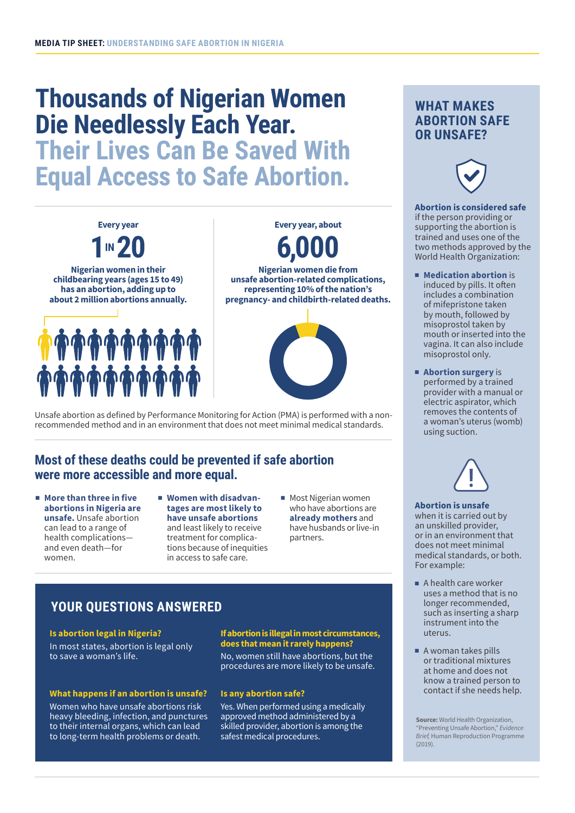# **Thousands of Nigerian Women Die Needlessly Each Year.**

**Their Lives Can Be Saved With Equal Access to Safe Abortion.**



Unsafe abortion as defined by Performance Monitoring for Action (PMA) is performed with a nonrecommended method and in an environment that does not meet minimal medical standards.

## **Most of these deaths could be prevented if safe abortion were more accessible and more equal.**

- More than three in five **abortions in Nigeria are unsafe.** Unsafe abortion can lead to a range of health complications and even death—for women.
- **Women with disadvantages are most likely to have unsafe abortions** and least likely to receive treatment for complications because of inequities in access to safe care.
- Most Nigerian women who have abortions are **already mothers** and have husbands or live-in partners.

# **YOUR QUESTIONS ANSWERED**

#### **Is abortion legal in Nigeria?**

In most states, abortion is legal only to save a woman's life.

### **What happens if an abortion is unsafe?**

Women who have unsafe abortions risk heavy bleeding, infection, and punctures to their internal organs, which can lead to long-term health problems or death.

#### **If abortion is illegal in most circumstances, does that mean it rarely happens?**

No, women still have abortions, but the procedures are more likely to be unsafe.

#### **Is any abortion safe?**

Yes. When performed using a medically approved method administered by a skilled provider, abortion is among the safest medical procedures.

## **WHAT MAKES ABORTION SAFE OR UNSAFE?**



## **Abortion is considered safe**  if the person providing or

supporting the abortion is trained and uses one of the two methods approved by the World Health Organization:

- **Medication abortion** is induced by pills. It often includes a combination of mifepristone taken by mouth, followed by misoprostol taken by mouth or inserted into the vagina. It can also include misoprostol only.
- **Abortion surgery** is performed by a trained provider with a manual or electric aspirator, which removes the contents of a woman's uterus (womb) using suction.



#### **Abortion is unsafe** when it is carried out by

an unskilled provider, or in an environment that does not meet minimal medical standards, or both. For example:

- A health care worker uses a method that is no longer recommended, such as inserting a sharp instrument into the uterus.
- A woman takes pills or traditional mixtures at home and does not know a trained person to contact if she needs help.

Source: World Health Organization, "Preventing Unsafe Abortion," *Evidence Brief,* Human Reproduction Programme (2019).